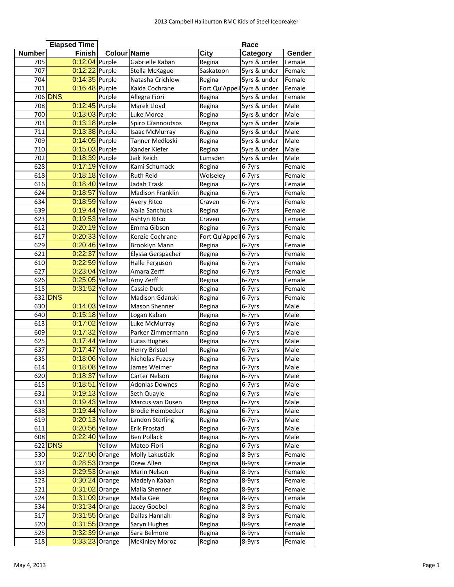|               | <b>Elapsed Time</b> |             |                         |                             | Race         |        |
|---------------|---------------------|-------------|-------------------------|-----------------------------|--------------|--------|
| <b>Number</b> | <b>Finish</b>       | Colour Name |                         | City                        | Category     | Gender |
| 705           | 0:12:04 Purple      |             | Gabrielle Kaban         | Regina                      | 5yrs & under | Female |
| 707           | 0:12:22 Purple      |             | Stella McKague          | Saskatoon                   | 5yrs & under | Female |
| 704           | 0:14:35 Purple      |             | Natasha Crichlow        | Regina                      | 5yrs & under | Female |
| 701           | 0:16:48 Purple      |             | Kaida Cochrane          | Fort Qu'Appell 5yrs & under |              | Female |
|               | 706 DNS             | Purple      | Allegra Fiori           | Regina                      | 5yrs & under | Female |
| 708           | 0:12:45 Purple      |             | Marek Lloyd             | Regina                      | 5yrs & under | Male   |
|               |                     |             |                         |                             |              |        |
| 700           | $0:13:03$ Purple    |             | Luke Moroz              | Regina                      | 5yrs & under | Male   |
| 703           | $0:13:18$ Purple    |             | Spiro Giannoutsos       | Regina                      | 5yrs & under | Male   |
| 711           | $0:13:38$ Purple    |             | <b>Isaac McMurray</b>   | Regina                      | 5yrs & under | Male   |
| 709           | 0:14:05 Purple      |             | Tanner Medloski         | Regina                      | 5yrs & under | Male   |
| 710           | $0:15:03$ Purple    |             | Xander Kiefer           | Regina                      | 5yrs & under | Male   |
| 702           | 0:18:39 Purple      |             | Jaik Reich              | Lumsden                     | 5yrs & under | Male   |
| 628           | 0:17:19 Yellow      |             | Kami Schumack           | Regina                      | 6-7yrs       | Female |
| 618           | 0:18:18 Yellow      |             | Ruth Reid               | Wolseley                    | 6-7yrs       | Female |
| 616           | 0:18:40 Yellow      |             | Jadah Trask             | Regina                      | 6-7yrs       | Female |
| 624           | 0:18:57 Yellow      |             | <b>Madison Franklin</b> | Regina                      | 6-7yrs       | Female |
| 634           | 0:18:59 Yellow      |             | Avery Ritco             | Craven                      | 6-7yrs       | Female |
| 639           | $0:19:44$ Yellow    |             | Nalia Sanchuck          | Regina                      | 6-7yrs       | Female |
| 623           | 0:19:53 Yellow      |             | Ashtyn Ritco            | Craven                      | 6-7yrs       | Female |
| 612           | 0:20:19 Yellow      |             | Emma Gibson             | Regina                      | 6-7yrs       | Female |
| 617           | 0:20:33 Yellow      |             | Kenzie Cochrane         | Fort Qu'Appell 6-7yrs       |              | Female |
| 629           | 0:20:46 Yellow      |             | Brooklyn Mann           | Regina                      | 6-7yrs       | Female |
| 621           | 0:22:37 Yellow      |             | Elyssa Gerspacher       |                             |              | Female |
| 610           | 0:22:59 Yellow      |             |                         | Regina                      | 6-7yrs       |        |
|               |                     |             | Halle Ferguson          | Regina                      | 6-7yrs       | Female |
| 627           | 0:23:04 Yellow      |             | Amara Zerff             | Regina                      | 6-7yrs       | Female |
| 626           | 0:25:05 Yellow      |             | Amy Zerff               | Regina                      | 6-7yrs       | Female |
| 515           | 0:31:52 Yellow      |             | Cassie Duck             | Regina                      | 6-7yrs       | Female |
|               | 632 DNS             | Yellow      | Madison Gdanski         | Regina                      | 6-7yrs       | Female |
| 630           | 0:14:03 Yellow      |             | Mason Shenner           | Regina                      | 6-7yrs       | Male   |
| 640           | 0:15:18 Yellow      |             | Logan Kaban             | Regina                      | 6-7yrs       | Male   |
| 613           | 0:17:02 Yellow      |             | Luke McMurray           | Regina                      | 6-7yrs       | Male   |
| 609           | 0:17:32 Yellow      |             | Parker Zimmermann       | Regina                      | 6-7yrs       | Male   |
| 625           | 0:17:44 Yellow      |             | Lucas Hughes            | Regina                      | 6-7yrs       | Male   |
| 637           | 0:17:47 Yellow      |             | Henry Bristol           | Regina                      | 6-7yrs       | Male   |
| 635           | 0:18:06 Yellow      |             | Nicholas Fuzesy         | Regina                      | 6-7yrs       | Male   |
| 614           | 0:18:08 Yellow      |             | James Weimer            | Regina                      | 6-7yrs       | Male   |
| 620           | 0:18:37 Yellow      |             | Carter Nelson           | Regina                      | 6-7yrs       | Male   |
| 615           | 0:18:51 Yellow      |             | <b>Adonias Downes</b>   | Regina                      | 6-7yrs       | Male   |
| 631           | $0:19:13$ Yellow    |             | Seth Quayle             | Regina                      | 6-7yrs       | Male   |
| 633           | 0:19:43 Yellow      |             | Marcus van Dusen        | Regina                      | 6-7yrs       | Male   |
| 638           | $0:19:44$ Yellow    |             | Brodie Heimbecker       | Regina                      | 6-7yrs       | Male   |
| 619           | 0:20:13 Yellow      |             | Landon Sterling         | Regina                      | 6-7yrs       | Male   |
| 611           | 0:20:56 Yellow      |             | Erik Frostad            | Regina                      | 6-7yrs       | Male   |
| 608           | 0:22:40 Yellow      |             | Ben Pollack             | Regina                      | 6-7yrs       | Male   |
|               | 622 DNS             | Yellow      | Mateo Fiori             | Regina                      |              | Male   |
|               |                     |             | Molly Lakustiak         |                             | 6-7yrs       |        |
| 530           | 0:27:50 Orange      |             |                         | Regina                      | 8-9yrs       | Female |
| 537           | 0:28:53 Orange      |             | Drew Allen              | Regina                      | 8-9yrs       | Female |
| 533           | 0:29:53 Orange      |             | Marin Nelson            | Regina                      | 8-9yrs       | Female |
| 523           | $0:30:24$ Orange    |             | Madelyn Kaban           | Regina                      | 8-9yrs       | Female |
| 521           | 0:31:02 Orange      |             | Malia Shenner           | Regina                      | 8-9yrs       | Female |
| 524           | 0:31:09 Orange      |             | Malia Gee               | Regina                      | 8-9yrs       | Female |
| 534           | 0:31:34 Orange      |             | Jacey Goebel            | Regina                      | 8-9yrs       | Female |
| 517           | 0:31:55 Orange      |             | Dallas Hannah           | Regina                      | 8-9yrs       | Female |
| 520           | 0:31:55 Orange      |             | Saryn Hughes            | Regina                      | 8-9yrs       | Female |
| 525           | 0:32:39 Orange      |             | Sara Belmore            | Regina                      | 8-9yrs       | Female |
| 518           | $0:33:23$ Orange    |             | <b>McKinley Moroz</b>   | Regina                      | 8-9yrs       | Female |